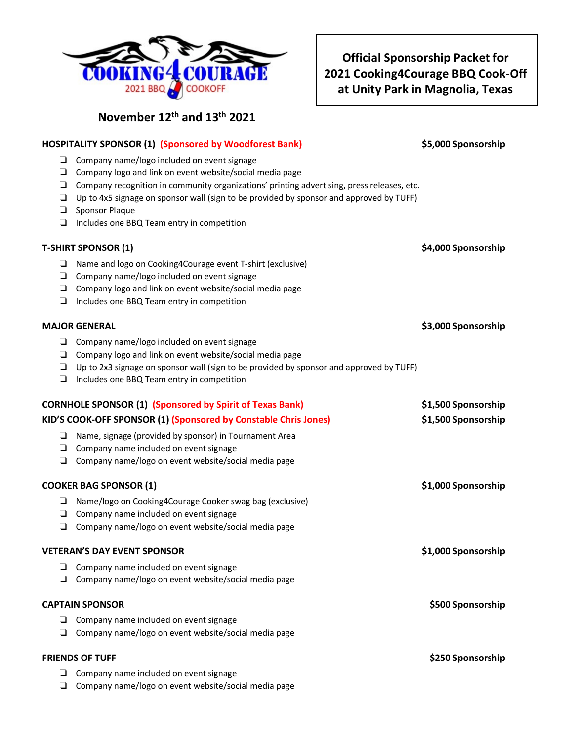

|                               | <b>HOSPITALITY SPONSOR (1) (Sponsored by Woodforest Bank)</b>                                                                                                                                                                                                                                                                                                                  | \$5,000 Sponsorship |
|-------------------------------|--------------------------------------------------------------------------------------------------------------------------------------------------------------------------------------------------------------------------------------------------------------------------------------------------------------------------------------------------------------------------------|---------------------|
| ⊔<br>⊔<br>$\Box$<br>$\Box$    | Company name/logo included on event signage<br>$\Box$ Company logo and link on event website/social media page<br>Company recognition in community organizations' printing advertising, press releases, etc.<br>Up to 4x5 signage on sponsor wall (sign to be provided by sponsor and approved by TUFF)<br>Sponsor Plaque<br>$\Box$ Includes one BBQ Team entry in competition |                     |
|                               | <b>T-SHIRT SPONSOR (1)</b>                                                                                                                                                                                                                                                                                                                                                     | \$4,000 Sponsorship |
| ⊔<br>$\Box$                   | Name and logo on Cooking4Courage event T-shirt (exclusive)<br>$\Box$ Company name/logo included on event signage<br>$\Box$ Company logo and link on event website/social media page<br>Includes one BBQ Team entry in competition                                                                                                                                              |                     |
|                               | <b>MAJOR GENERAL</b>                                                                                                                                                                                                                                                                                                                                                           | \$3,000 Sponsorship |
| □                             | □ Company name/logo included on event signage<br>$\Box$ Company logo and link on event website/social media page<br>$\Box$ Up to 2x3 signage on sponsor wall (sign to be provided by sponsor and approved by TUFF)<br>Includes one BBQ Team entry in competition                                                                                                               |                     |
|                               | <b>CORNHOLE SPONSOR (1) (Sponsored by Spirit of Texas Bank)</b>                                                                                                                                                                                                                                                                                                                | \$1,500 Sponsorship |
|                               | KID'S COOK-OFF SPONSOR (1) (Sponsored by Constable Chris Jones)                                                                                                                                                                                                                                                                                                                | \$1,500 Sponsorship |
| ⊔                             | Name, signage (provided by sponsor) in Tournament Area<br>$\Box$ Company name included on event signage<br>$\Box$ Company name/logo on event website/social media page                                                                                                                                                                                                         |                     |
| <b>COOKER BAG SPONSOR (1)</b> |                                                                                                                                                                                                                                                                                                                                                                                | \$1,000 Sponsorship |
| ⊔<br>$\Box$                   | Name/logo on Cooking4Courage Cooker swag bag (exclusive)<br>$\Box$ Company name included on event signage<br>Company name/logo on event website/social media page                                                                                                                                                                                                              |                     |
|                               | <b>VETERAN'S DAY EVENT SPONSOR</b>                                                                                                                                                                                                                                                                                                                                             | \$1,000 Sponsorship |
| ⊔                             | Company name included on event signage<br>Company name/logo on event website/social media page                                                                                                                                                                                                                                                                                 |                     |
|                               | <b>CAPTAIN SPONSOR</b>                                                                                                                                                                                                                                                                                                                                                         | \$500 Sponsorship   |
| ⊔<br>⊔                        | Company name included on event signage<br>Company name/logo on event website/social media page                                                                                                                                                                                                                                                                                 |                     |
|                               | <b>FRIENDS OF TUFF</b>                                                                                                                                                                                                                                                                                                                                                         | \$250 Sponsorship   |
| ⊔<br>⊔                        | Company name included on event signage<br>Company name/logo on event website/social media page                                                                                                                                                                                                                                                                                 |                     |



**November 12th and 13th 2021**